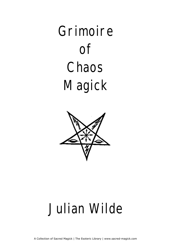# Grimoire of Chaos Magick -



# Julian Wilde

A Collection of Sacred Magick | The Esoteric Library | www.sacred-magick.com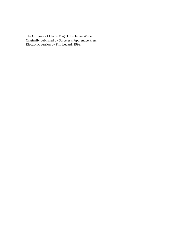The Grimoire of Chaos Magick, by Julian Wilde. Originally published by Sorcerer's Apprentice Press. Electronic version by Phil Legard, 1999.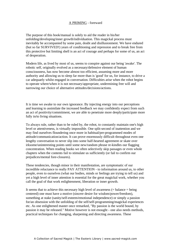## A PRIMING - foreward

The purpose of this book/manual is solely to aid the reader in his/her unfolding/developing/inner growth/individuation. This magickal process must inevitably be accompanied by some pain, doubt and disillusionment. We have endured (but so far SURVIVED!) years of conditioning and repression and to break free from this protective but limiting shell is an act of courage and perhaps for some of us, an act of desperation.

Modern life, as lived by most of us, seems to conspire against our being 'awake'. The robotic self, originally evolved as a necessary/defensive element of human consciousness, has now become almost too efficient, assuming more and more authority and allowing us to sleep far more than is 'good' for us, for instance, to drive a car adequaely whilst engaged in conversation. Difficulties arise when the robot begins to operate where/when it is not necessary/appropriate, undermining free will and narrowing our choice of alternative attitudes/decisions/actions.

It is time we awake to our own ignorance. By injecting energy into our perceptions and learning to assimilate the increased feedback we may confidently expect from such an act of positivity/commitment, we are able to penetrate more deeply/participate more fully in/to living situations.

To always rule, rather than to be ruled by, the robot, to constantly maintain one's high level or attentiveness, is virtually impossible. One split-second of inattention and we may find ourselves floundering once more in habitual/pre-programmed modes of attitude/communication/action. It can prove enormously difficult throughout even one lengthy conversation to never slip into some half-hearted agreement or skate over irksome/uninteresting points until some new/random phrase re-kindles our flagging concentration. When reading books we often selectively skip passages or even whole chapters when the contents fail to stimulate us sufficiently (or fail to confirm our prejudices/mental fore-closures).

These tendencies, though minor in their manifestation, are symptomatic of our incredible reluctance to really PAY ATTENTION - to information around us, to other people, even to ourselves (what our bodies, minds or feelings are trying to tell us) and yet a high level of inner attention is essential for the great magickal work, whether you call the goal of that work enlightenment, liberation or inner growth.

It seems that to achieve this necessary high level of awareness  $(= \text{balance} = \text{being}$ centered) one must have a motive (sincere desire for wisdom/power/freedom), something at stake (sanity/self-esteem/emotional independence) or simply a passion for/an obsession with the unfolding of the self/self-programming/magickal experiences etc. As one enlightened master once remarked, "By passion is the world bound, by passion it may be released." Motive however is not enought - one also needs methods, practical techniques for changing, sharpening and directing awareness. These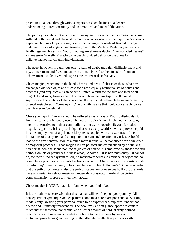practiques lead one through various experiences/conclusions to a deeper understanding, a freer creativity and an emotional and mental liberation.

The journey though is not an easy one - many great seekers/warriors/magickians have suffered both mental and physical turmoil as a consequence of their spiritual/sorcerous experimentations - Gopi Sharma, one of the leading exponents of Kundalini Yoga, underwent years of anguish and torment, one of the Merlins, Merlin Wylte, lost and finally regained his sanity. Not for nothing are shamans dubbed "the wounded healers" - many great "travellers" are/become deeply divided beings on the quest for enlightenment/emancipation/individuation.

The quest however, is a glorious one - a path of doubt and faith, disillusionment and joy, ensnarement and freedom, and can ultimately lead to the pinnacle of human achievement - to discover and express the (more) real self/selves.

Chaos magick, when not in the hands, hearts and pens of elitists or those who have exchanged old ideologies and "isms" for a new, equally restrictive set of beliefs and practices (and prejudices), is an eclectic, umbrella term for the sum and total of all magickal endeavor, from so-called primitive shamanic practiques to the most sophisticated hermetic or kabalic systems. It may include elements from wicca, tantra, oriental metaphysics, "Crowleyanity" and anything else that could conceivably prove useful/relevant/beneficial.

Chaos (perhaps in future it should be reffered to as Khaos or Kaos to distinguish it from the banal or dictionary use of the word) magick is not simply another system, another alternative to mainstream tradition, a new, provocotive flavour for jaded magickal appetites. It is any technique that works, any world-view that proves helpful it is the employment of any beneficial systems coupled with an awareness of the limitations of that system and an urge to transcent such restrictions. It leads/should lead to the creation/evolution of a much more individual, personalised world-view/set of magickal practices. Chaos magick is non-political (unless practiced by politicians), non-sexist, non-ageist and non-racist (unless of course it is employed by those who still harbour doubts or prejudices in these areas). Above all, it is non-missionary - it cannot be, for there is no set system to sell, no mandatory beliefs to embrace or reject and no compulsory practices or festivals to observe or scorn. Chaos magick is a constant state of unfolding/flux/uncertainty. The character Paul in Frank Herbert's "Dune" concludes that the path of certainty is also the path of stagnation or even death. If you, the reader have any certainties about magickal law/gender-roles/occult leadership/spiritual companionship - prepare to shed them now...

Chaos magick is YOUR magick - if and when you find it/you.

It is the author's sincere wish that this manual will be of help on your journey. All concepts/rituals/practiques/belief-patterns contained herein are presented as working models only, awaiting your personal touch to be experiences, explored, understood, altered and ultimately transcended. The book may at first glance appear to contain much that is theoretical/conceptual and a lesser amount of hard, sharply-defined practical work. This is not so - what you bring to the exercises by way or attitude/approach has great bearing on the ultimate results. It is perhaps worth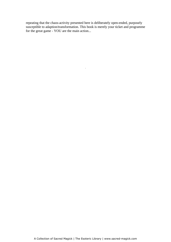repeating that the chaos-activity presented here is deliberately open-ended, purposely susceptible to adaption/transformation. This book is merely your ticket and programme for the great game - YOU are the main action...

-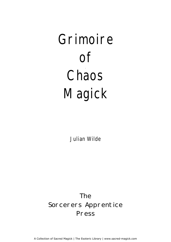# Grimoire of Chaos Magick -

Julian Wilde

# The Sorcerers Apprentice Press

A Collection of Sacred Magick | The Esoteric Library | www.sacred-magick.com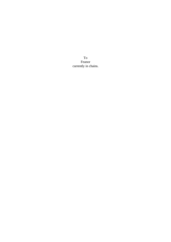To Feanor currently in chains.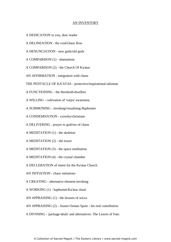#### AN INVENTORY

- A DEDICATION to you, dear reader
- A DELINEATION the void/chaos flow
- A DENUNCIATION new gods/old gods
- A COMPARISON (1) shamanism
- A COMPARISON (2) the Church Of Ka'atas -
- AN AFFIRMATION integration with chaos
- THE PENTACLE OF KA'ATAS protective/inspirational talisman
- A FUNCTIONING the threshold-dwellers
- A WILLING cultivation of 'varjra' awareness
- A SUMMONING invoking/visualising Baphomet
- A CONDEMNATION crowley/christians
- A DELIVERING prayer to god/ess of chaos
- A MEDITATION (1) the skeleton
- A MEDITATION (2) the tower
- A MEDITATION (3) the space meditation
- A MEDITATION (4) the crystal chamber
- A DECLERATION of intent for the Ka'atas Church
- AN INITIATION chaos initiations
- A CREATING alternative element-invoking
- A WORKING (1) baphomet/Ka'atas ritual
- AN APPRAISING (1) the lessons of wicca
- AN APPRAISING (2) Austin Osman Spare his real contribution
- A DIVINING 'package-deals' and alternatives. The Leaves of Fate.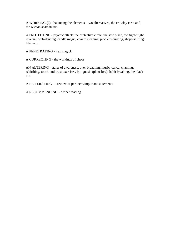A WORKING (2) - balancing the elements - two alternatives, the crowley tarot and the wiccan/shamanistic.

A PROTECTING - psychic attack, the protective circle, the safe place, the fight-flight reversal, web-dancing, candle magic, chakra cleaning, problem-burying, shape-shifting, talismans.

A PENETRATING - 'sex magick

A CORRECTING - the workings of chaos

AN ALTERING - states of awareness, over-breathing, music, dance, chanting, rebirthing, touch-and-trust exercises, bio-gnosis (plant-lore), habit breaking, the blackout

A REITERATING - a review of pertinent/important statements

A RECOMMENDING - further reading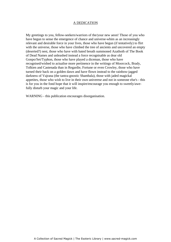#### A DEDICATION

My greetings to you, fellow-seekers/warriors of the/your new aeon! Those of you who have begun to sense the emergence of chance and universe-whim as an increasingly relevant and desirable force in your lives, those who have begun (if tentatively) to flirt with the universe, those who have climbed the tree of ancients and uncovered an empty (deserted?) nest, those who have with bated breath summoned Azathoth of The Book of Dead Names and unleashed instead a force recognisable as dear old Gonpo/Set/Typhon, those who have played a diceman, those who have recognised/wished to actualise more pertinence in the writings of Moorcock, Brady, Tolkien and Castenada than in Regardie, Fortune or even Crowley, those who have turned their back on a golden dawn and have flown instead to the rainbow-jagged darkness of Vajrana (the tantra-gnostic Shambala), those with jaded magickal appetites, those who wish to live in their own univerese and not in someone else's - this is for you in the fond hope that it will inspire/encourage you enough to sweetly/awefully disturb your magic and your life.

WARNING - this publication encourages disorganisation.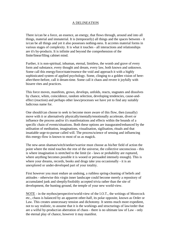# A DELINEATION

There is/can be a force, an essence, an energy, that flows through, around and into all things, material and immaterial. It is (temporarily) all things and the spaces between - it is/can be all things and yet it also possesses nothing-ness. It accretes material forms in various stages of complexity. It is what it touches - all interactions and relationships are it's by-products. It is infinite and beyond the comprehension of the finite/linear/filing cabinet mind.

Further, it is non-spiritual, inhuman, eternal, limitless, the womb and grave of every form and substance, every thought and dream, every law, both known and unknown. Some call this energy/force/state/essence the void and approach it with a highly sophisticated system of applied psychology. Some, clinging to a golden vision of hereafter/there-before, call it dream-time. Some call it chaos and revere it joyfully with bizarre rites and practices.

This force moves, manifests, grows, develops, unfolds, reacts, stagnates and dissolves by chance, whim, coincidence, random selection, developing tendencies, cause-andeffect (reaction) and perhaps other laws/processes we have yet to find any suitably ludicrous name for.

One should/can choose to seek to become more aware of this flow, then (usually) move with it or alternatively physically/mentally/emotionally accelerate, divert or influence the process and/or it's manifestations and effects within the bounds of a specific chain of events/situations. Both these options are inaugurated/enhanced by the utilisation of meditation, imaginations, visualisation, sigilisation, rituals and that insatiable urge-to-pursue called will. The process/science of sensing and influencing this energy-flow is known to most of us as magick.

The new-aeon shaman/witch/seeker/warrior must choose as his/her field of action the point where the mind touches the rest of the universe, the collective unconscious - this is where imagination is stretched to the limit (ie - laws or probability are ruptured, where anything becomes possible it is wooed or persuaded intensely enough). This is where your dreams, records, books and drugs take you occasionally - it is an unexplored or under-developed part of your totality.

First however you must endure an undoing, a ruthless spring-cleaning of beliefs and attitudes - otherwise this virgin inner landscape could become merely a repository of accumulated junk and sleepily/foolishly accepted trivia rather than the site of development, the hunting ground, the temple of your new world-view.

NOTE - in the mythos/perspective/world-view of the I.O.T., the writings of Moorcock etc., chaos is balanced by an apparent other-half, its polar opposite, known as Order or Law. This creates unnecessary tension and dichotomy. It seems much more expedient, not to say realistic, to assume that it is the workings and structurings of law/order that are a wilful by-product/an aberration of chaos - there is no ultimate law of Law - only the eternal play of chance, however it may manifest.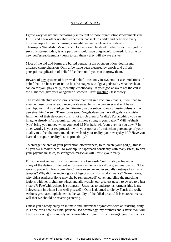### A DENUNCIATION

I grow wary/weary and increasingly intolerant of those organisations/movements (the I.O.T. and a few other notables excepted) that seek to codify and delineate every tiresome aspect of an increasingly over-blown and irrelevant world-view. Theosophic/Kabalistic/Monotheistic lore is/should be dead, further, is evil, is rigid, is sexist, is status-ridden, is of a past we should have outgrown/disowned. It is time for new god/esse/s/daemons - learn to call them - they will always answer.

Most of the old god-forms are buried beneath a ton of superstition, dogma and diseased comprehension. Only a few have been cleansed by gnosis and a fresh perception/application of belief. Use them until you can outgrow them.

Beware of any systems of borrowed belief - trust only in 'systems' or accumulations of belief that can be seen or felt to be advantageous. Judge a god/ess by what he/she/it can do for you, physically, mentally, emotionally - if your god answers not the call in the night then give your allegiance elsewhere. Trust practice - test theory.

The void/collective unconscious cannot manifest in a vacuum - that is, it will tend to assume these forms already recognisable/usable by the perceiver and will be as useful/powerful/knowledgeable ultimately as the subconscious urges/impulses of the perceiver him/herself. These forms (gods/angels/daemons) ie - all gods are a wishfulfilment of their devotees - this is not to rob them of 'reality'. For anything you can imagine already is/is becoming... but just how strong is your patron? Will he/she/it (you) bring you money when you need it? Has he/she/it (you) ever let you down? In other words, is your reciprocation with your god(s) of a sufficient percentage of your totality to effect the more mundane levels of your reality, your everyday life? Have you learned to rupture reality/distort probability?

To enlarge the area of your perception/effectiveness, to re-create your god(s), this is all you ow him/her/them - to worship, to "approach constantly with many rites", to flex your psychic muscles, to strengthen magickal will - this is your fealty.

For some seekers/warriors this process is not so easily/comfortably achieved with many of the deities of the past six or seven millenia. (ie - if the great guardians of Tibet were so powerful, how come the Chinese over-ran and eventually destroyed so many temples? Why did the ancient gods of Egypt allow Roman dominance? Nearer home, why didn't Andrasta (long may she be remembered!) cover and blind the marching legions with her nightmare wings and allow/assist our greatest queen to sweep to a just victory?) Fate/whim/chaos is strongest - Jesus has to undergo his torment (this is my beloved son in whom I am well-pleased?), Odin is doomed to die by Fenrir the wolf, Arthur's great accomplishment is the validity of the failed dream.) It is chaos/universe will that we should be revering/entering.

Unless you already enjoy an intimate and untarnished symbiosis with an 'existing' deity, it is time for a new, flexible, personalised cosmology, my brothers and sisters! You will have your own gods (archetypal personalities of your own choosing), your own names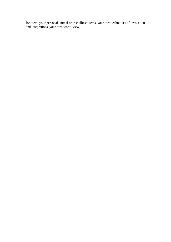for them, your personal animal or tree allies/totems, your own techniques of invocation and integrations, your own world-view.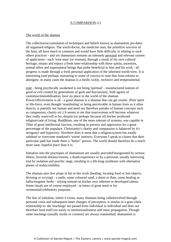# A COMPARISON (1)

#### The world of the shaman

The collection/accumulation of techniques and beliefs known as shamanism pre-dates all organised religion. The witch-doctor, the medicine man, the primitive sorceror of the hunt, all have much in common and would have little difficulty in relating to each others practices - and yet shamanism remains an intensely personal and relevant system of application - each 'wise man' (or woman), through a result of his own cultural heritage, retains and enjoys a fresh inter-relationship with those spirits, ancestors, animal-allies and supernatural beings that probe beneficial to him and his work - all progress is made through a fresh personal application of the inherited world-view. It is interesting (and perhaps reassuring to some of you/us) to note that from eskimo to aborigine, in many cases the shaman is a misfit, sickly, reclusive and temperamental.

note - being psychically awakened is not being 'spiritual' - manufactured notions of good or evil created by generations of guilt and fear/anxiety, both agents of castration/immobilisation, have no place in the world of the shaman. Power/effectiveness is all - a good shaman is a shaman that can get results. (Pure spirit or life-force, even thought 'manifesting' or being perceivable in human form as it often does/is, is patently not human and need not therefore partake of human concepts such as compassion, charity etc.) It seems to me that man/woman will become whatever they really want/will to bo, despite (or perhaps because of) his/her professed religion/code of living. Buddhism, one of the more tolerant of systems, was capable in Tibet of great intellectual fascism, resulting in poverty and oppression for a great percentage of the populace. Christianity's charity and compassion is balanced by it's arrogance and hypocrisy. Nowhere does it seem that a religion/system has totally subdued or overcome mankind's 'worse' instincts. Everyone I speak to claims that their particular path has made them a "better" person. The world should therefore be a much more sane, hopeful place than it is.

Initiation into the practiques of shamanism are usually preceded/inaugurated by serious illness, feverish dreams/visions, a death-experience or by a personal, usually harrowing trial by isolation and psychic siege, resulting in a life-long symbiosis with alternative planes of reality/mobility.

The shaman uses few props in his or her work (healing, locating food or lost objects, divining or scrying) - a rattle, some coloured sand, a drum or flute, some healing or hallucinogenic herbs - relying instead on his/her own inherent or developed talents. Some rituals are of course employed - at times of great need or for ceremonial/celebratory purposes.

The line of initiation, where it exists, many shamans being called/evolved through personal crisis and subsequent inner changes of perception, is similar to a guru-chela relationship ie- the 'teachings' are passed from individual to individual and does not therefore lend itself too easily to institutionalisation and mass propagation. Though some teachings (usually myths or creation) are always transmitted, shamanism is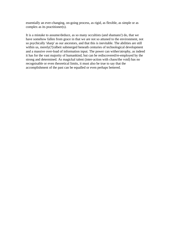essentially an ever-changing, on-going process, as rigid, as flexible, as simple or as complex as its practitioner(s).

It is a mistake to assume/deduce, as so many occultists (and shamans!) do, that we have somehow fallen from grace in that we are not so attuned to the environment, not so psychically 'sharp' as our ancestors, and that this is inevitable. The abilities are still within us, merely(?)/albeit submerged beneath centuries of technological development and a massive over-load of information input. The power can wither/atrophy, as indeed it has for the vast majority of humankind, but can be rediscovered/re-employed by the strong and determined. As magickal talent (inter-action with chaos/the void) has no recognisable or even theoretical limits, it must also be true to say that the accomplishment of the past can be equalled or even perhaps bettered.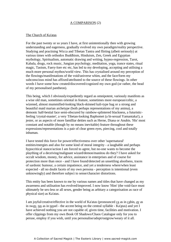# A COMPARISON (2)

#### The Church of Ka'atas

For the past twenty or so years I have, at first unintentionally then with growing understanding and eagerness, gradually evolved my own paradigm/reality perspective. Studying and practising Wicca and Tibetan Tantra and flirting (albeit seriously) at various times with orthodox Buddhism, Hinduism, Zen, Greek and Egyptian mythology, Spiritualism, automatic drawing and writing, hypno-regression, Tarot, Kabala, drugs, rock music, Jungian psychology, meditation, yoga, trance states, ritual magic, Taoism, Faery-lore etc etc, has led to my developing, accepting and utilising a much more personal mythos/world view. This has crystalised around my perception of the flowings/manifestations of the void/universe whim, and the face/form my subconscious mind has affixed/attributed to the source of these flowings. In other words I have some how created/discovered/cognized my own god (or rather, the head of my personalised pantheon).

This being, which I obviously/expediently regard as omnipotent, variously manifests as a wise old man, sometimes oriental in feature, sometimes more european/celtic, a wizened, almost mummified-looking black-skinned kali-type hag or a strong and beautiful maid marian archetype (both perhaps representations of my anima), a demonic half-bestial face semi-obscured by rainbow-splintered blackness, a futuristicfeeling 'crystal-master', a very Tibetan-looking Baphomet (a bi-sexual Yamantaka!), a jester, or as aspects of more familliar deities such as Herne, Diana or Anubis. 'His' most constant and notable (though by no means inevitable) feature throughout these expressions/representations is a pair of clear green eyes, piercing, cool and totally inhuman.

I have tested this force for power/effectiveness over other 'supernatural' entities/energies and also for some kind of moral integrity - a laughable and perhaps hypocritical stance/action I am forced to agree, but no-one wants to become the plaything of a deceiving/malignant wizard/demon/manitou do they? I have asked for occult wisdom, money, for advice, assistance in enterprises and of course for protection more than once - and I have found/detected an unsettling aloofness, traces of sardonic humour, a certain impatience, and yet a tenderness where/when least expected - all no doubt facets of my own persona - perception is intentional (even unknowingly) and therefore subject to sense/character distortions.

This entity has been known to me by various names and titles that have changed as my awareness and utilisation has evolved/improved. I now know 'Him' (the void-face must ultimately be sex-less or all sexes, gender being as arbitary a categorisation as race of physical size) as Ka'atas.

I am joyful/creative/effective in the world of Ka'atas (pronounced ca as in cabin, ay as in sway, tas as in tassel - the accent being on the central syllable - Ka'atas) and yet I have achieved nothing you are not capable of, given time, facilities and motivation. I offer clippings from my own Book Of Shadows/Chaos Catalogue only for you to peruse, employ if you wish, until you personalise/adopt/outgrow/weary of it all.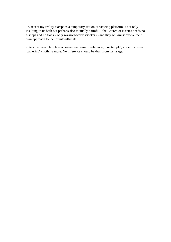To accept my reality except as a temporary station or viewing platform is not only insulting to us both but perhaps also mutually harmful - the Church of Ka'atas needs no bishops and no flock - only warriors/wolves/seekers - and they will/must evolve their own approach to the infinite/ultimate.

note - the term 'church' is a convenient term of reference, like 'temple', 'coven' or even 'gathering' - nothing more. No inference should be dran from it's usage.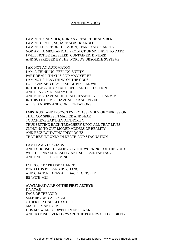#### AN AFFIRMATION

I AM NOT A NUMBER, NOR ANY RESULT OF NUMBERS I AM NO CIRCLE, SQUARE NOR TRIANGLE I AM NO PUPPET OF THE MOON, STARS AND PLANETS NOR AM I A MECHANICAL PRODUCT OF MY INPUT TO DATE I WILL NOT BE LABELLED, CONTAINED, DIVIDED AND SUPPRESSED BY THE WORLD'S OBSOLETE SYSTEMS

I AM NOT AN AUTOMATON I AM A THINKING, FEELING ENTITY PART OF ALL THAT IS AND MAY YET BE I AM NOT A PLAYTHING OF THE GODS FOR I CAN AND HAVE EXHIBITED FREE WILL IN THE FACE OF CATASTROPHE AND OPPOSITION AND I HAVE MET MANY GODS AND NONE HAVE SOUGHT SUCCESSFULLY TO HARM ME IN THIS LIFETIME I HAVE SO FAR SURVIVED ALL SLANDERS AND CONFRONTATIONS -

I MISTRUST AND DISOWN EVERY ASSEMBLY OF OPPRESSION THAT CONSPIRES IN MALICE AND FEAR TO ACHIEVE EARTHLY AUTHORITY THUS SETTING BACK TREACHERY UPON ALL THAT LIVES CLINGING TO OUT-MODED MODELS OF REALITY AND REGURGITATING IDEOLOGIES THAT RESULT ONLY IN DEATH AND STAGNATION

I AM SPAWN OF CHAOS AND I CHOOSE TO BELIEVE IN THE WORKINGS OF THE VOID WHICH IS NAKED REALITY AND SUPREME FANTASY AND ENDLESS BECOMING

I CHOOSE TO PRAISE CHANCE FOR ALL IS BLESSED BY CHANCE AND CHANCE TAKES ALL BACK TO ITSELF BE-WITH-ME!

AVATAR/ATAVAR OF THE FIRST AETHYR KA'ATAS! FACE OF THE VOID SELF BEYOND ALL-SELF OTHER BEYOND ALL-OTHER MASTER MANITOU! IT IS MY WILL TO DWELL IN DEEP WAKE AND TO PUSH EVER FORWARD THE BOUNDS OF POSSIBILITY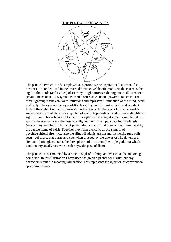#### THE PENTACLE OF KA'ATAS



The pentacle (which can be employed as a protective or inspirational talisman if so desired) is here depicted in the inverted/destructive/chaotic mode. At the centre is the sigil of the Lords (and Ladies) of Entropy - eight arrows radiating out in all directions (in all dimensions). This symbol is itself a self-sufficient and powerful talisman. The three lightning flashes are vajra-initiations and represent illumination of the mind, heart and body. The eyes are the eyes of Ka'atas - they are his most notable and constant feature throughout numerous guises/manifestations. To the lower left is the worldsnake/the serpent of eternity - a symbol of cyclic happenstance and ultimate stability - a sigil of Law. This is balanced to the lower right by the winged serpent (kundlini, if you wish) - the eternal now - the urge to enlightenment. The upward-pointing triangle (masculine) contains the horns of penetration, creation and destruction, illuminated by the candle flame of spirit. Together they form a trident, an old symbol of psychic/spiritual fire. (note also the Hindu/Buddhist trisula and the nordic rune eolhsecg - eel-grass, that burns and cuts when grasped by the unwary.) The downward (feminine) triangle contains the three phases of the moon (the triple goddess) which combine mystically to create a solar eye, the gaze of flame.

The pentacle is surmounted by a rune or sigil of infinity, an inverted alpha and omega combined. In this illustration I have used the greek alphabet for clarity, but any characters similar in meaning will suffice. This represents the rejection of conventional space/time values.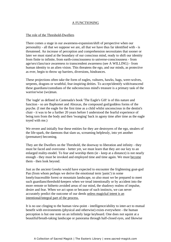# A FUNCTIONING

#### The role of the Threshold-Dwellers

There comes a stage in our awareness-expansion/shift of perspective when our personality - all that we suppose we are, all that we have thus far identified with - is threatened. An increase of perception and comprehension necessitates that sooner or later we must stand at the boundary of our conscious mind, ready to shift our identity from finite to infinite, from earth-consciousness to universe-consciousness - from age/sex/class/race awareness to transcendent awareness (see A WILLING) - from human identity to an alien vision. This threatens the ego, and our minds, as protective as ever, begin to throw up barriers, diversions, hindrances.

These projections often take the form of eagles, vultures, hawks, hags, were-wolves, serpents, dragons or wrathful, fear-inspiring deities. To accept/identify with/transcend these guardians/custodians of the subconscious mind's treasure is a primary task of the warrior/wise (wo)man.

The 'eagle' as defined in Castenada's book 'The Eagle's Gift' is of this nature and function - so are Baphomet and Abraxas, the compound god/goddess forms of the psyche. (I met the eagle for the first time as a child whilst unconscious in the dentist's chair - it was to be a further 20 years before I understood the fearful experience of being torn from the body and then 'twanging' back in agony time after time as the eagle toyed with me.)

We revere and initially fear these entities for they are destroyers of the ego, stealers of the life-spark, the daemons that slam us, screaming helplessly, into yet another (premature) becoming.

They are the Dwellers on the Threshold, the doorway to liberation and infinity - they must be faced and overcome - better yet, we must learn that they are our key to an enlarged reality-model. To fear and worship them (ie - keep at a distance) is not nearly enough - they must be invoked and employed time and time again. We must become them - then look beyond.

Just as the ancient Greeks would have expected to encounter the frightening goat-god Pan (from whom perhaps we derive the emotional term 'panic') in some lonely/inacessible forest or mountain landscape, so also must we be prepared to meet such guardians/threshold-keepers when we tread intentionally or by accident into the more remote or hitherto avoided areas of our mind, the shadowy realms of impulse, desire and fear. When we act upon or because of such instincts, we can never accurately predict the outcome of our deeds unless magickal intent is an intentional/integral part of the process.

It is no use clinging to the human view-point - intelligence/ability to inter-act to mutual benefit with environments (physical and otherwise) exists everywhere - the human perception is but one note on an infinitely large keyboard. One does not squint at a beautiful/breath-taking landscape or panorama through half-closed eyes, and likewise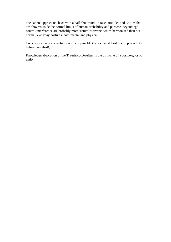one cannot appreciate chaos with a half-shut mind. In face, attitudes and actions that are above/outside the normal limits of human probability and purpose, beyond egocontrol/interference are probably more 'natural'/universe-whim-harmonised than our normal, everyday postures, both mental and physical.

Consider as many alternative stances as possible (believe in at least one improbability before breakfast!).

Knowledge/absorbtion of the Threshold-Dwellers is the birth-rite of a cosmo-gnostic entity.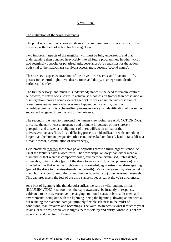# A WILLING

#### The cultivation of the 'vajra' awareness

The point where our conscious minds meet the sub/un-conscious, ie- the rest of the universe, is the field of action for the magickian.

Two important aspects of the magickal will must be fully understood, and that understanding then punched irrevocably into all future programmes. In other words two seemingly opposite or polarised attitudes/stances/pre-requisites for the action, both vital to the magickian's survival/success, must become 'second nature'. -

These are two aspects/extractions of the drive towards 'eros' and 'thanatos' - life, possession, control, light, love, desire, focus and decay, disintegration, death, darkness, disorder.

The first necessary (and much misunderstood) stance is the need to remain 'centred', self-aware, to retain one's 'spirit', to achieve self-possession (rather than possession or disintegration through some external agency), to seek an uninterrupted stream of consciousness/awareness whatever may happen, be it calamity, death or rebirth/becomings. It is a channelling process/tendency, an identification of the self as separate/disengaged from the rest of the universe.

The second is the need to transcend the human view-point (see A FUNCTIONING), to realise the narrowness, arrogance and ultimate impotence of one's present perception and to seek a re-alignment of one's will/vision to that of the universe/void/chaos flow. It is a diffusing process, an identification with something larger than the human perspective (that can, unchecked or abused, lead to false bliss, a nirbanic torpor, a capitulation of drive/energy).

Held/practised together these two polar opposites create a third, highest stance. As usual the tantrists have a word for it. The word 'vajra' or 'dorje' can either mean a diamond ie- that which is compact/focused, symmetrical/crystalised, unbreakable, immutable, untarnishable (part of the drive to eros/control, order, possession) or a thunderbolt ie- that which is frightening, all-powerful, ego-destructive, disintegrating (part of the drive to thanatos/disorder, ego-death). 'Vajra' therefore may also be held to mean both stances (diamond-eros and thunderbolt-thanatos) together/simultaneously. This captures nicely the feel of the third stance so let us call it the vajra-awareness.

As a bolt of lightning (the thunderbolt) strikes the earth, swift, random, brilliant (ILLUMINATING!), so too must the vajra-awareness be instantly in response, cultivated to be active/reactive to changing emotional states, rebirths, disasters and environments, being one with the lightning, being the lightning, flowing at one with all but retaining the diamond-hard yet infinitely flexible self-ness in the midst of conditions, manifestaions and becomings. The vajra-awareness is what it touches yet it retains its self-ness, wherever it alights there is totality and purity, where it is not are ignorance and eventual suffering.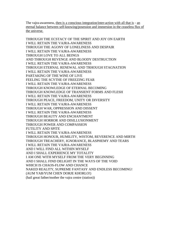The vajra-awareness, then is a conscious integration/inter-action with all that is - an eternal balance between self-knowing/posession and immersion in the ceaseless flux of the universe.

THROUGH THE ECSTACY OF THE SPIRIT AND JOY ON EARTH I WILL RETAIN THE VAJRA-AWARENESS THROUGH THE AGONY OF LONELINESS AND DESPAIR I WILL RETAIN THE VAJRA-AWARENESS THROUGH LOVE TO ALL BEINGS AND THROUGH REVENGE AND BLOODY DESTRUCTION I WILL RETAIN THE VAJRA-AWARENESS THROUGH ETERNAL RENEWAL AND TRHOUGH STAGNATION I WILL RETAIN THE VAJRA-AWARENESS PARTAKING OF THE WINE OF LIVE FEELING THE SCYTHE OF FREEZING FEAR I WILL RETAIN THE VAJRA-AWARENESS THROUGH KNOWLEDGE OF ETERNAL BECOMING THROUGH KNOWLEDGE OF TRANSIENT FORMS AND FLESH I WILL RETAIN THE VAJRA-AWARENESS THROUGH PEACE, FREEDOM, UNITY OR DIVERSITY I WILL RETAIN THE VAJRA-AWARENESS THROUGH WAR, OPPRESSION AND DISSENT I WILL RETAIN THE VAJRA-AWARENESS THROUGH BEAUTY AND ENCHANTMENT THROUGH HORROR AND DISILLUSIONMENT THROUGH POWER AND COMPASSION FUTILITY AND SPITE I WILL RETAIN THE VAJRA-AWARENESS THROUGH HONOUR, HUMILITY, WISTOM, REVERENCE AND MIRTH THROUGH TREACHERY, IGNORANCE, BLASPHEMY AND TEARS I WILL RETAIN THE VAJRA-AWARENESS AND I WILL FIND ALL WITHIN MYSELF AND I SHALL EXPERIENCE MY TOTALITY I AM ONE WITH MYSELF FROM THE VERY BEGINNING AND I SHALL FIND DELIGHT IN THE WAYS OF THE VOID WHICH IS CHAOS-FLOW AND CHANCE NAKED REALITY, SUPREME FANTASY AND ENDLESS BECOMING! (AUM YAB/YUM CHEN DORJE KHORLO!) (hail great father/mother the vajra centre (station))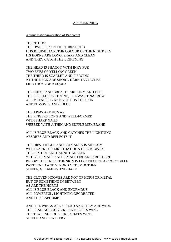#### A SUMMONING

A visualisation/invocation of Baphomet

THERE IT IS! THE DWELLER ON THE THRESHOLD IT IS BLUE-BLACK, THE COLOUR OF THE NIGHT SKY ITS HORNS ARE LONG, SHARP AND CLEAN AND THEY CATCH THE LIGHTNING

THE HEAD IS SHAGGY WITH INKY FUR TWO EYES OF YELLOW-GREEN THE THIRD IS SCARLET AND PIERCING AT THE NECK ARE SHORT, DARK TENTACLES LIKE THOSE OF A SOUID

THE CHEST AND BREASTS ARE FIRM AND FULL THE SHOULDERS STRONG, THE WAIST NARROW ALL METALLIC - AND YET IT IS THE SKIN AND IT MOVES AND FOLDS

THE ARMS ARE HUMAN THE FINGERS LONG AND WELL-FORMED WITH SHARP NAILS WEBBED WITH A THIN AND SUPPLE MEMBRANE

ALL IS BLUE-BLACK AND CATCHES THE LIGHTNING ABSORBS AND REFLECTS IT

THE HIPS, THIGHS AND LOIN AREA IS SHAGGY WITH DARK FUR LIKE THAT OF A BLACK BISON THE SEX-ORGANS CANNOT BE SEEN YET BOTH MALE AND FEMALE ORGANS ARE THERE BELOW THE KNEES THE SKIN IS LIKE THAT OF A CROCODILLE PATTERNED AND STRONG YET SMOOTHER SUPPLE, GLEAMING AND DARK

THE CLOVEN HOOVES ARE NOT OF HORN OR METAL BUT OF SOMETHING IN BETWEEN AS ARE THE HORNS ALL IS BLUE-BLACK AND ENORMOUS ALL-POWERFUL, LIGHTNING DECORATED AND IT IS BAPHOMET

AND THE WINGS ARE SPREAD AND THEY ARE WIDE THE LEADING EDGE LIKE AN EAGLE'S WING THE TRAILING EDGE LIKE A BAT'S WING SUPPLE AND LEATHERY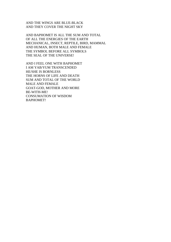## AND THE WINGS ARE BLUE-BLACK AND THEY COVER THE NIGHT SKY

AND BAPHOMET IS ALL THE SUM AND TOTAL OF ALL THE ENERGIES OF THE EARTH MECHANICAL, INSECT, REPTILE, BIRD, MAMMAL AND HUMAN, BOTH MALE AND FEMALE THE SYMBOL BEFORE ALL SYMBOLS THE SEAL OF THE UNIVERSE!

AND I FEEL ONE WITH BAPHOMET I AM YAB/YUM TRANSCENDED HE/SHE IS BORNLESS THE HORNS OF LIFE AND DEATH SUM AND TOTAL OF THE WORLD MALE AND FEMALE GOAT-GOD, MOTHER AND MORE BE-WITH-ME! CONSUMATION OF WISDOM BAPHOMET!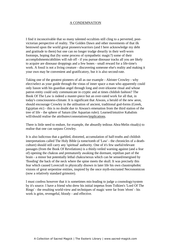### A CONDEMNATION

I find it inconceivable that so many talented occultists still cling to a perverted, postvictorian perspective of reality. The Golden Dawn and other movements of that ilk bestowed upon the world great pioneers/warriors (and I here acknowledge my debt and gratitude to them) but one can no longer trudge drearily in their well-worn footsteps, hoping that (by some process of sympathetic magic?) some of their accomplishments/abilities will rub off - if you pursue dinosaur tracks all you are likely to acquire are dinosaur droppings and a few bones - small reward for a life-time's work. A fossil is not a living creature - discovering someone else's reality and making it your own may be convenient and gratificatory, but it is also second-rate.

Taking one of the greatest pioneers of all as our example - Aleister Crowley - why elect/select as your guide through the vistas of inner space a man who apparently could only liason with his guardian angel through long and over-irksome ritual and whose patron entity could only communicate in cryptic and at times childish fashion? The Book Of The Law is indeed a master-piece but an over-rated work for all that, in today's consciousness-climate. It is significant that Aiwass, a herald of the new aeon, should encourage Crowley in the utilisation of ancient, traditional god-forms (Greek, Egyptian etc) - this is no doubt due to Aiwass's emenation from the third station of the tree of life - the sphere of Saturn (the Aquarian ruler). Learned/intuitive Kabalists will/should realise the attributes/connotations/implications.

There is little need to endure, for example, the absurdly tedious Abra-Melin ritual(s) to realise that one can surpass Crowley.

It is also ludicrous that a garbled, distorted, accumulation of half-truths and childish interpretations called The Holy Bible (a tome/tomb of 'Law' - the chronicles of a deathculture) should still carry any 'spiritual' authority. One of it's few useful/relevant passages (from the Book Of Revelations) is a thinly-veiled warning against (and a fear of) opening the chakras and prematurely awaking the dormant, reptilian part of the brain - a minor but potentially lethal chakra/nexus which can be sensed/energised by 'flooding' the back of the neck where the spine meets the skull. It was precisely this fear which caused Lovecraft to physically disown in later life his own claustrophobic visions of great serpentine entities, inspired by the once myth-encrusted Necronomicon (now a relatively standard grimoire).

I must confess however that it is sometimes mis-leading to judge a cosmology/system by it's source. I have a friend who drew his initial impetus from Tolkien's 'Lord Of The Rings' - the resulting world-view and techniques of magic were far from 'elven' - his work is grim, revengeful, bloody - and effective.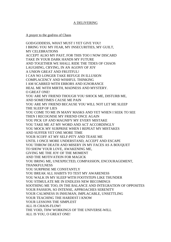# A DELIVERING

#### A prayer to the god/ess of Chaos

GOD/GODDESS, WHAT MUST I YET GIVE YOU! I BRING YOU MY FEAR, MY INSECURITIES, MY GUILT, MY CELEBRATIONS ACCEPT ALSO MY PAST, FOR THIS TOO I NOW DISCARD TAKE IN YOUR DARK HANDS MY FUTURE AND TOGETHER WE SHALL RIDE THE TIDES OF CHAOS LAUGHING, CRYING, IN AN AGONY OF JOY A UNION GREAT AND FRUITFUL! I CAN NO LONGER TAKE REFUGE IN ILLUSION COMPLACENCY AND WISHFUL THINKING I AM SCARRED WITH ERRORS AND IGNORANCE HEAL ME WITH MIRTH, MADNESS AND MYSTERY. O GREAT ONE! YOU ARE MY FRIEND THOUGH YOU SHOCK ME, DISTURB ME, AND SOMETIMES CAUSE ME PAIN YOU ARE MY FRIEND BECAUSE YOU WILL NOT LET ME SLEEP THE SLEEP OF LIES YOU COME TO ME IN MANY MASKS AND YET WHEN I SEEK TO SEE THEN I RECOGNISE MY FRIEND ONCE AGAIN YOU PICK UP AND MAGNIFY MY EVERY MISTAKE YOU TAKE ME AT MY WORD AND ACT ACCORDINGLY YOU MOCK MY SURPRISE WHEN I REPEAT MY MISTAKES AND SUFFER YET ONE MORE TIME YOUR SCOFF AT MY SELF-PITY AND TEASE ME UNTIL I ONCE MORE UNDERSTAND, ACCEPT AND ESCAPE YOU THROW DEATH AND MISERY IN MY FACES AS A BOUQUET TO SHOW YOUR LOVE, AWAKENING ME, GIVING ME THE JOY OF THE MOMENT AND THE MOTIVATION FOR MAGICK YOU BRING ME, UNEXPECTED, COMPASSION, ENCOURAGEMENT, THANKFULNESS YOU SURPRISE ME CONSTANTLY YOU BREAK ALL HABITS TO TEST MY AWARENESS YOU WALK IN MY SLEEP WITH FOOTSTEPS LIKE THUNDER YOU STIMULATE ME IN ENDLESS NEW BECOMINGS SOOTHING ME TOO, IN THE BALANCE AND INTEGRATION OF OPPOSITES YOUR PASSION, SO INTENSE, APPROACHES SERENITY YOUR CALMNESS IS INHUMAN, IMPLACABLE, UNSETTLING YOUR TEACHING THE HARDEST I KNOW YOUR LESSONS THE SIMPLEST ALL IS CHAOS-FLOW! THE VOID, THW WORKINGS OF THE UNIVERSE-WILL ALL IS YOU, O GREAT ONE!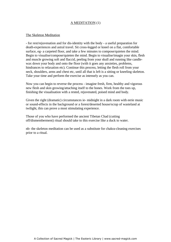# A MEDITATION (1)

#### The Skeleton Meditation

- for rest/rejuvenation and for dis-identity with the body - a useful preparation for death-experiences and astral travel. Sit cross-legged or kneel on a flat, comfortable surface, eg- a carpeted floor, and take a few minutes to compose/quieten the mind. Begin to visualise/compose/quieten the mind. Begin to visualise/imagin your skin, flesh and muscle growing soft and flaccid, peeling from your skull and running like candlewax down your body and onto the floor (with it goes any anxieties, problems, hindrances to relaxation etc). Continue this process, letting the flesh roll from your neck, shoulders, arms and chest etc, until all that is left is a sitting or kneeling skeleton. Take your time and perform the exercise as intensely as you can.

Now you can begin to reverse the process - imagine fresh, firm, healthy and vigorous new flesh and skin growing/attaching itself to the bones. Work from the toes up, finishing the visualisation with a rested, rejuvenated, poised mind and body.

Given the right (dramatic) circumstances ie- midnight in a dark room with eerie music or sound-effects in the background or a forest/deserted house/scrap of wasteland at twilight, this can prove a most stimulating experience.

Those of you who have performed the ancient Tibetan Chad (cutting off/dismemberment) ritual should take to this exercise like a duck to water.

nb- the skeleton meditation can be used as a substitute for chakra-cleaning exercises prior to a ritual.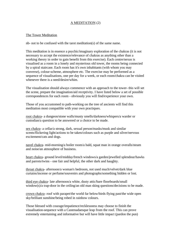# A MEDITATION (2)

#### The Tower Meditation

nb- not to be confused with the tarot meditation(s) of the same name.

This meditation is in essence a psychic/imaginary exploration of the chakras (it is not necessary to accept the existence/relevance of chakras as anything other than a working theory in order to gain benefit from this exercise). Each centre/nexus is visualised as a room in a lonely and mysterious old tower, the rooms being connected by a spiral staircase. Each room has it's own inhabitants (with whom you may converse), colour-scheme, atmosphere etc. The exercise may be performed as a sequence of visualisations, one per day for a week, or each room/chakra can be visited whenever there is a need/desire/whim.

The visualisation should always commence with an approach to the tower- this will set the scene, prepare the imagination/aid receptivity. I have listed below a set of possible correspondences for each room - obviously you will find/experience your own.

Those of you accustomed to path-working on the tree of ancients will find this meditation most compatible with your own practiques.

root chakra- a dungeon/stone walls/musty smells/darkness/whispers/a warder or custodian/a question to be answered or a choice to be made.

sex chakra- a cellar/a strong, dark, sexual person/masks/musk and similar scents/flickering light/actions to be taken/colours such as purple and silver/nervous excitement/cats and dogs.

navel chakra- mid-morning/a boiler room/a bald, squat man in orange overalls/steam and noise/an atmosphere of business.

heart chakra- ground level/midday/french windows/a garden/jewelled splendour/hawks and parrots/twins - one fair and helpful, the other dark and haughty.

throat chakra- afternoon/a woman's bedroom, not used much/velvet/dark blue curtains/incense or perfume/souvenirs and photographs/something hidden or lost.

third eye chakra- late afternoon/a white, dusty attic/bare floorboards/small window(s)/a trap-door in the ceiling/an old man sking questions/decisions to be made.

crown chakra- roof with parapet/the world far below/birds flying past/the wide open sky/brilliant sunshine/being robed in rainbow colours.

Those blessed with courage/impatience/recklessness may choose to finish the visualisation-sequence with a Castenadaesque leap from the roof. This can prove extremely entertaining and informative but will have little impact (pardon the pun)